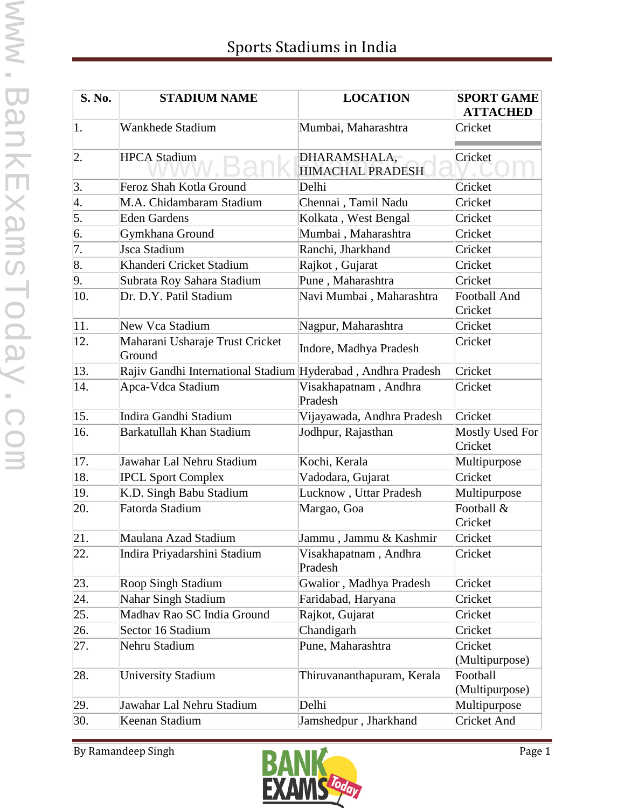| S. No.           | <b>STADIUM NAME</b>                                          | <b>LOCATION</b>                         | <b>SPORT GAME</b><br><b>ATTACHED</b> |
|------------------|--------------------------------------------------------------|-----------------------------------------|--------------------------------------|
| 1.               | Wankhede Stadium                                             | Mumbai, Maharashtra                     | Cricket                              |
| $\vert$ 2.       | <b>HPCA Stadium</b>                                          | DHARAMSHALA,<br><b>HIMACHAL PRADESH</b> | Cricket                              |
| $\vert 3. \vert$ | Feroz Shah Kotla Ground                                      | Delhi                                   | Cricket                              |
| 4.               | M.A. Chidambaram Stadium                                     | Chennai, Tamil Nadu                     | Cricket                              |
| $\overline{5}$ . | <b>Eden Gardens</b>                                          | Kolkata, West Bengal                    | Cricket                              |
| 6.               | Gymkhana Ground                                              | Mumbai, Maharashtra                     | Cricket                              |
| $\overline{7}$ . | Jsca Stadium                                                 | Ranchi, Jharkhand                       | Cricket                              |
| 8.               | Khanderi Cricket Stadium                                     | Rajkot, Gujarat                         | Cricket                              |
| 9.               | Subrata Roy Sahara Stadium                                   | Pune, Maharashtra                       | Cricket                              |
| 10.              | Dr. D.Y. Patil Stadium                                       | Navi Mumbai, Maharashtra                | <b>Football And</b>                  |
|                  |                                                              |                                         | Cricket                              |
| 11.              | New Vca Stadium                                              | Nagpur, Maharashtra                     | Cricket                              |
| 12.              | Maharani Usharaje Trust Cricket<br>Ground                    | Indore, Madhya Pradesh                  | Cricket                              |
| 13.              | Rajiv Gandhi International Stadium Hyderabad, Andhra Pradesh |                                         | Cricket                              |
| 14.              | Apca-Vdca Stadium                                            | Visakhapatnam, Andhra<br>Pradesh        | Cricket                              |
| 15.              | Indira Gandhi Stadium                                        | Vijayawada, Andhra Pradesh              | Cricket                              |
| 16.              | Barkatullah Khan Stadium                                     | Jodhpur, Rajasthan                      | <b>Mostly Used For</b><br>Cricket    |
| 17.              | Jawahar Lal Nehru Stadium                                    | Kochi, Kerala                           | Multipurpose                         |
| 18.              | <b>IPCL Sport Complex</b>                                    | Vadodara, Gujarat                       | Cricket                              |
| 19.              | K.D. Singh Babu Stadium                                      | Lucknow, Uttar Pradesh                  | Multipurpose                         |
| 20.              | Fatorda Stadium                                              | Margao, Goa                             | Football &<br>Cricket                |
| 21.              | Maulana Azad Stadium                                         | Jammu, Jammu & Kashmir                  | Cricket                              |
| 22.              | Indira Priyadarshini Stadium                                 | Visakhapatnam, Andhra<br>Pradesh        | Cricket                              |
| 23.              | Roop Singh Stadium                                           | Gwalior, Madhya Pradesh                 | Cricket                              |
| 24.              | Nahar Singh Stadium                                          | Faridabad, Haryana                      | Cricket                              |
| 25.              | Madhav Rao SC India Ground                                   | Rajkot, Gujarat                         | Cricket                              |
| 26.              | Sector 16 Stadium                                            | Chandigarh                              | Cricket                              |
| 27.              | Nehru Stadium                                                | Pune, Maharashtra                       | Cricket<br>(Multipurpose)            |
| 28.              | <b>University Stadium</b>                                    | Thiruvananthapuram, Kerala              | Football<br>(Multipurpose)           |
| 29.              | Jawahar Lal Nehru Stadium                                    | Delhi                                   | Multipurpose                         |
| 30.              | Keenan Stadium                                               | Jamshedpur, Jharkhand                   | Cricket And                          |